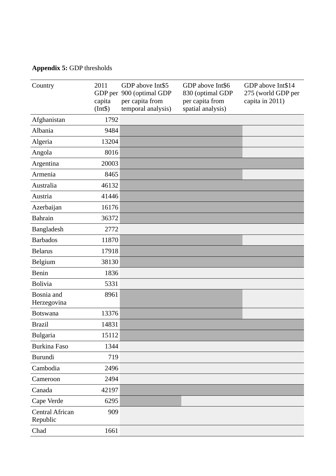## **Appendix 5:** GDP thresholds

| Country                            | 2011<br>capita<br>(Int\$) | GDP above Int\$5<br>GDP per 900 (optimal GDP<br>per capita from<br>temporal analysis) | GDP above Int\$6<br>830 (optimal GDP<br>per capita from<br>spatial analysis) | GDP above Int\$14<br>275 (world GDP per<br>capita in 2011) |
|------------------------------------|---------------------------|---------------------------------------------------------------------------------------|------------------------------------------------------------------------------|------------------------------------------------------------|
| Afghanistan                        | 1792                      |                                                                                       |                                                                              |                                                            |
| Albania                            | 9484                      |                                                                                       |                                                                              |                                                            |
| Algeria                            | 13204                     |                                                                                       |                                                                              |                                                            |
| Angola                             | 8016                      |                                                                                       |                                                                              |                                                            |
| Argentina                          | 20003                     |                                                                                       |                                                                              |                                                            |
| Armenia                            | 8465                      |                                                                                       |                                                                              |                                                            |
| Australia                          | 46132                     |                                                                                       |                                                                              |                                                            |
| Austria                            | 41446                     |                                                                                       |                                                                              |                                                            |
| Azerbaijan                         | 16176                     |                                                                                       |                                                                              |                                                            |
| <b>Bahrain</b>                     | 36372                     |                                                                                       |                                                                              |                                                            |
| <b>Bangladesh</b>                  | 2772                      |                                                                                       |                                                                              |                                                            |
| <b>Barbados</b>                    | 11870                     |                                                                                       |                                                                              |                                                            |
| <b>Belarus</b>                     | 17918                     |                                                                                       |                                                                              |                                                            |
| Belgium                            | 38130                     |                                                                                       |                                                                              |                                                            |
| <b>Benin</b>                       | 1836                      |                                                                                       |                                                                              |                                                            |
| <b>Bolivia</b>                     | 5331                      |                                                                                       |                                                                              |                                                            |
| Bosnia and<br>Herzegovina          | 8961                      |                                                                                       |                                                                              |                                                            |
| <b>Botswana</b>                    | 13376                     |                                                                                       |                                                                              |                                                            |
| <b>Brazil</b>                      | 14831                     |                                                                                       |                                                                              |                                                            |
| <b>Bulgaria</b>                    | 15112                     |                                                                                       |                                                                              |                                                            |
| <b>Burkina Faso</b>                | 1344                      |                                                                                       |                                                                              |                                                            |
| <b>Burundi</b>                     | 719                       |                                                                                       |                                                                              |                                                            |
| Cambodia                           | 2496                      |                                                                                       |                                                                              |                                                            |
| Cameroon                           | 2494                      |                                                                                       |                                                                              |                                                            |
| Canada                             | 42197                     |                                                                                       |                                                                              |                                                            |
| Cape Verde                         | 6295                      |                                                                                       |                                                                              |                                                            |
| <b>Central African</b><br>Republic | 909                       |                                                                                       |                                                                              |                                                            |
| Chad                               | 1661                      |                                                                                       |                                                                              |                                                            |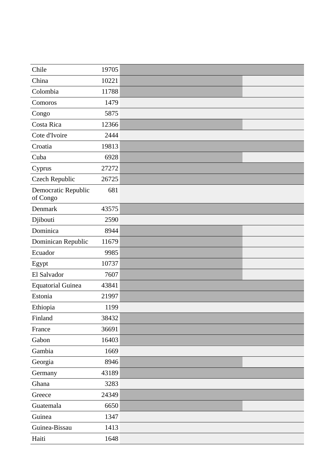| Chile                           | 19705 |  |
|---------------------------------|-------|--|
| China                           | 10221 |  |
| Colombia                        | 11788 |  |
| Comoros                         | 1479  |  |
| Congo                           | 5875  |  |
| Costa Rica                      | 12366 |  |
| Cote d'Ivoire                   | 2444  |  |
| Croatia                         | 19813 |  |
| Cuba                            | 6928  |  |
| Cyprus                          | 27272 |  |
| <b>Czech Republic</b>           | 26725 |  |
| Democratic Republic<br>of Congo | 681   |  |
| Denmark                         | 43575 |  |
| Djibouti                        | 2590  |  |
| Dominica                        | 8944  |  |
| Dominican Republic              | 11679 |  |
| Ecuador                         | 9985  |  |
| Egypt                           | 10737 |  |
| El Salvador                     | 7607  |  |
| <b>Equatorial Guinea</b>        | 43841 |  |
| Estonia                         | 21997 |  |
| Ethiopia                        | 1199  |  |
| Finland                         | 38432 |  |
| France                          | 36691 |  |
| Gabon                           | 16403 |  |
| Gambia                          | 1669  |  |
| Georgia                         | 8946  |  |
| Germany                         | 43189 |  |
| Ghana                           | 3283  |  |
| Greece                          | 24349 |  |
| Guatemala                       | 6650  |  |
| Guinea                          | 1347  |  |
| Guinea-Bissau                   | 1413  |  |
| Haiti                           | 1648  |  |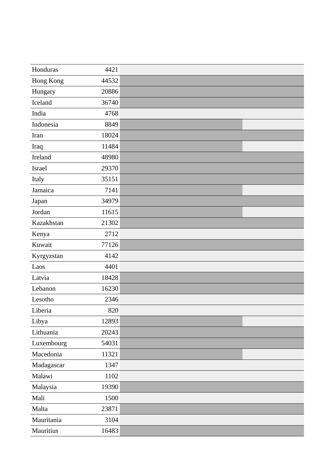| Honduras   | 4421  |  |
|------------|-------|--|
| Hong Kong  | 44532 |  |
| Hungary    | 20886 |  |
| Iceland    | 36740 |  |
| India      | 4768  |  |
| Indonesia  | 8849  |  |
| Iran       | 18024 |  |
| Iraq       | 11484 |  |
| Ireland    | 48980 |  |
| Israel     | 29370 |  |
| Italy      | 35151 |  |
| Jamaica    | 7141  |  |
| Japan      | 34979 |  |
| Jordan     | 11615 |  |
| Kazakhstan | 21302 |  |
| Kenya      | 2712  |  |
| Kuwait     | 77126 |  |
| Kyrgyzstan | 4142  |  |
| Laos       | 4401  |  |
| Latvia     | 18428 |  |
| Lebanon    | 16230 |  |
| Lesotho    | 2346  |  |
| Liberia    | 820   |  |
| Libya      | 12893 |  |
| Lithuania  | 20243 |  |
| Luxembourg | 54031 |  |
| Macedonia  | 11321 |  |
| Madagascar | 1347  |  |
| Malawi     | 1102  |  |
| Malaysia   | 19390 |  |
| Mali       | 1500  |  |
| Malta      | 23871 |  |
| Mauritania | 3104  |  |
| Mauritius  | 16483 |  |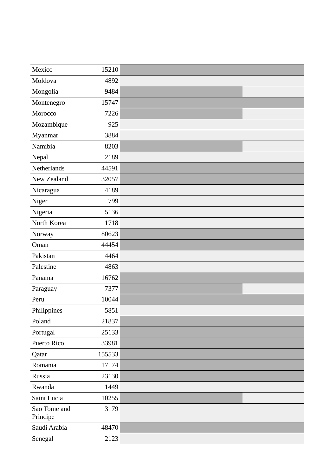| Mexico                   | 15210  |  |
|--------------------------|--------|--|
| Moldova                  | 4892   |  |
| Mongolia                 | 9484   |  |
| Montenegro               | 15747  |  |
| Morocco                  | 7226   |  |
| Mozambique               | 925    |  |
| Myanmar                  | 3884   |  |
| Namibia                  | 8203   |  |
| Nepal                    | 2189   |  |
| Netherlands              | 44591  |  |
| New Zealand              | 32057  |  |
| Nicaragua                | 4189   |  |
| Niger                    | 799    |  |
| Nigeria                  | 5136   |  |
| North Korea              | 1718   |  |
| Norway                   | 80623  |  |
| Oman                     | 44454  |  |
| Pakistan                 | 4464   |  |
| Palestine                | 4863   |  |
| Panama                   | 16762  |  |
| Paraguay                 | 7377   |  |
| Peru                     | 10044  |  |
| Philippines              | 5851   |  |
| Poland                   | 21837  |  |
| Portugal                 | 25133  |  |
| Puerto Rico              | 33981  |  |
| Qatar                    | 155533 |  |
| Romania                  | 17174  |  |
| Russia                   | 23130  |  |
| Rwanda                   | 1449   |  |
| Saint Lucia              | 10255  |  |
| Sao Tome and<br>Principe | 3179   |  |
| Saudi Arabia             | 48470  |  |
| Senegal                  | 2123   |  |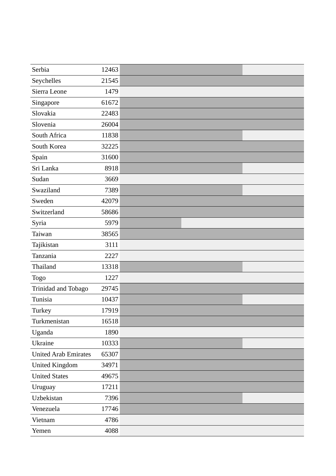| Serbia                      | 12463 |  |
|-----------------------------|-------|--|
| Seychelles                  | 21545 |  |
| Sierra Leone                | 1479  |  |
| Singapore                   | 61672 |  |
| Slovakia                    | 22483 |  |
| Slovenia                    | 26004 |  |
| South Africa                | 11838 |  |
| South Korea                 | 32225 |  |
| Spain                       | 31600 |  |
| Sri Lanka                   | 8918  |  |
| Sudan                       | 3669  |  |
| Swaziland                   | 7389  |  |
| Sweden                      | 42079 |  |
| Switzerland                 | 58686 |  |
| Syria                       | 5979  |  |
| Taiwan                      | 38565 |  |
| Tajikistan                  | 3111  |  |
| Tanzania                    | 2227  |  |
| Thailand                    | 13318 |  |
| <b>Togo</b>                 | 1227  |  |
| Trinidad and Tobago         | 29745 |  |
| Tunisia                     | 10437 |  |
| Turkey                      | 17919 |  |
| Turkmenistan                | 16518 |  |
| Uganda                      | 1890  |  |
| Ukraine                     | 10333 |  |
| <b>United Arab Emirates</b> | 65307 |  |
| <b>United Kingdom</b>       | 34971 |  |
| <b>United States</b>        | 49675 |  |
| Uruguay                     | 17211 |  |
| Uzbekistan                  | 7396  |  |
| Venezuela                   | 17746 |  |
| Vietnam                     | 4786  |  |
| Yemen                       | 4088  |  |